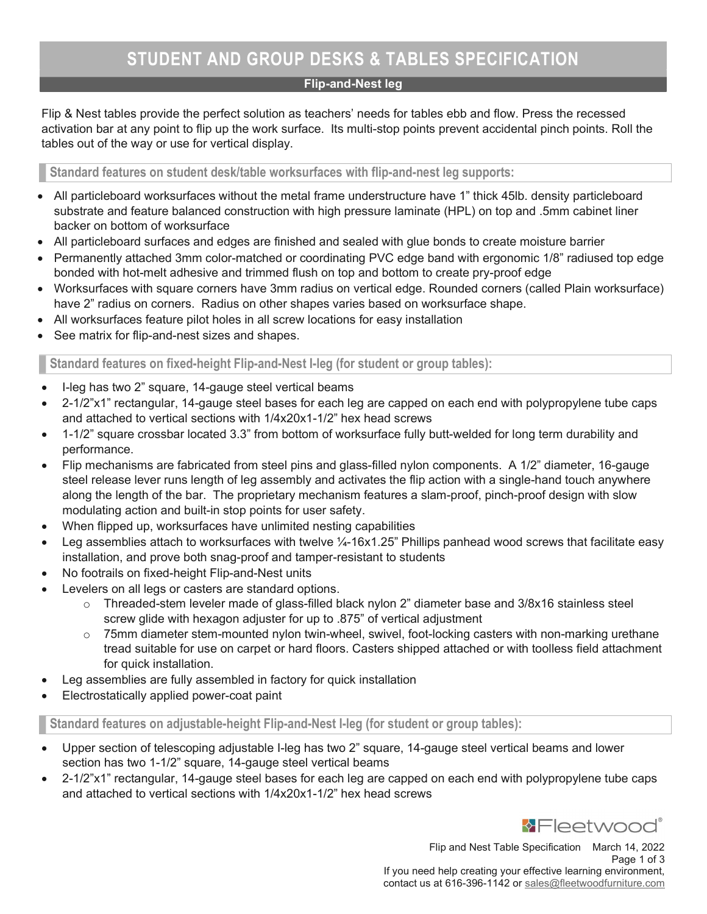# STUDENT AND GROUP DESKS & TABLES SPECIFICATION

## Flip-and-Nest leg

Flip & Nest tables provide the perfect solution as teachers' needs for tables ebb and flow. Press the recessed activation bar at any point to flip up the work surface. Its multi-stop points prevent accidental pinch points. Roll the tables out of the way or use for vertical display.

Standard features on student desk/table worksurfaces with flip-and-nest leg supports:

- All particleboard worksurfaces without the metal frame understructure have 1" thick 45lb. density particleboard substrate and feature balanced construction with high pressure laminate (HPL) on top and .5mm cabinet liner backer on bottom of worksurface
- All particleboard surfaces and edges are finished and sealed with glue bonds to create moisture barrier
- Permanently attached 3mm color-matched or coordinating PVC edge band with ergonomic 1/8" radiused top edge bonded with hot-melt adhesive and trimmed flush on top and bottom to create pry-proof edge
- Worksurfaces with square corners have 3mm radius on vertical edge. Rounded corners (called Plain worksurface) have 2" radius on corners. Radius on other shapes varies based on worksurface shape.
- All worksurfaces feature pilot holes in all screw locations for easy installation
- See matrix for flip-and-nest sizes and shapes.

Standard features on fixed-height Flip-and-Nest I-leg (for student or group tables):

- I-leg has two 2" square, 14-gauge steel vertical beams
- 2-1/2"x1" rectangular, 14-gauge steel bases for each leg are capped on each end with polypropylene tube caps and attached to vertical sections with 1/4x20x1-1/2" hex head screws
- 1-1/2" square crossbar located 3.3" from bottom of worksurface fully butt-welded for long term durability and performance.
- Flip mechanisms are fabricated from steel pins and glass-filled nylon components. A 1/2" diameter, 16-gauge steel release lever runs length of leg assembly and activates the flip action with a single-hand touch anywhere along the length of the bar. The proprietary mechanism features a slam-proof, pinch-proof design with slow modulating action and built-in stop points for user safety.
- When flipped up, worksurfaces have unlimited nesting capabilities
- Leg assemblies attach to worksurfaces with twelve  $\frac{1}{4}$ -16x1.25" Phillips panhead wood screws that facilitate easy installation, and prove both snag-proof and tamper-resistant to students
- No footrails on fixed-height Flip-and-Nest units
- Levelers on all legs or casters are standard options.
	- $\circ$  Threaded-stem leveler made of glass-filled black nylon 2" diameter base and 3/8x16 stainless steel screw glide with hexagon adjuster for up to .875" of vertical adjustment
	- $\circ$  75mm diameter stem-mounted nylon twin-wheel, swivel, foot-locking casters with non-marking urethane tread suitable for use on carpet or hard floors. Casters shipped attached or with toolless field attachment for quick installation.
- Leg assemblies are fully assembled in factory for quick installation
- Electrostatically applied power-coat paint

Standard features on adjustable-height Flip-and-Nest I-leg (for student or group tables):

- Upper section of telescoping adjustable I-leg has two 2" square, 14-gauge steel vertical beams and lower section has two 1-1/2" square, 14-gauge steel vertical beams
- 2-1/2"x1" rectangular, 14-gauge steel bases for each leg are capped on each end with polypropylene tube caps and attached to vertical sections with 1/4x20x1-1/2" hex head screws



Flip and Nest Table Specification March 14, 2022 Page 1 of 3 If you need help creating your effective learning environment, contact us at 616-396-1142 or sales@fleetwoodfurniture.com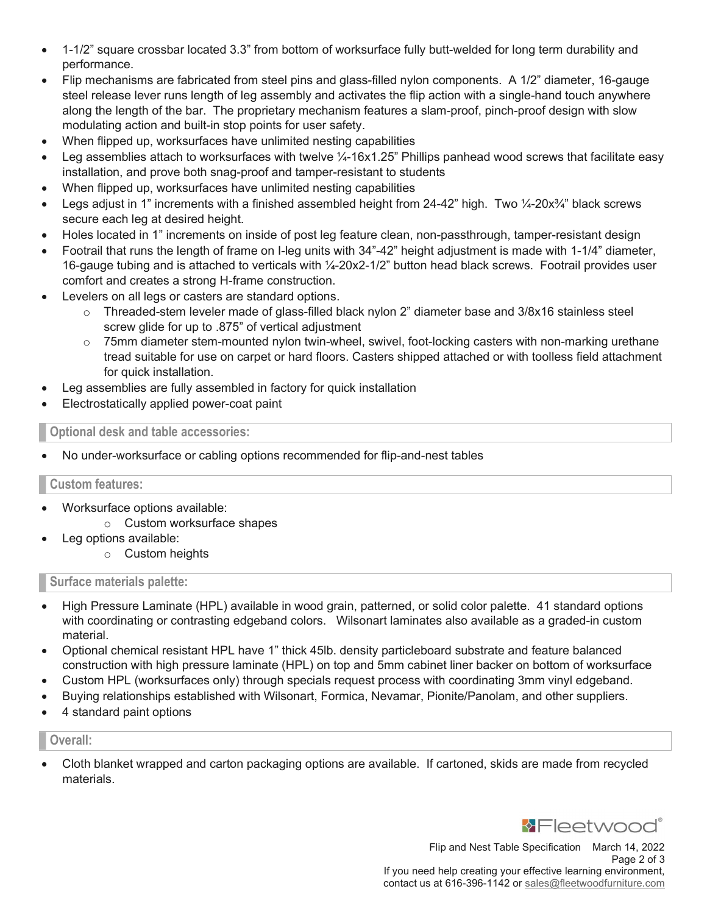- 1-1/2" square crossbar located 3.3" from bottom of worksurface fully butt-welded for long term durability and performance.
- Flip mechanisms are fabricated from steel pins and glass-filled nylon components. A 1/2" diameter, 16-gauge steel release lever runs length of leg assembly and activates the flip action with a single-hand touch anywhere along the length of the bar. The proprietary mechanism features a slam-proof, pinch-proof design with slow modulating action and built-in stop points for user safety.
- When flipped up, worksurfaces have unlimited nesting capabilities
- Leg assemblies attach to worksurfaces with twelve 1/<sub>4</sub>-16x1.25" Phillips panhead wood screws that facilitate easy installation, and prove both snag-proof and tamper-resistant to students
- When flipped up, worksurfaces have unlimited nesting capabilities
- Legs adjust in 1" increments with a finished assembled height from 24-42" high. Two  $\frac{1}{4}$ -20x $\frac{3}{4}$ " black screws secure each leg at desired height.
- Holes located in 1" increments on inside of post leg feature clean, non-passthrough, tamper-resistant design
- Footrail that runs the length of frame on I-leg units with 34"-42" height adjustment is made with 1-1/4" diameter, 16-gauge tubing and is attached to verticals with ¼-20x2-1/2" button head black screws. Footrail provides user comfort and creates a strong H-frame construction.
- Levelers on all legs or casters are standard options.
	- $\circ$  Threaded-stem leveler made of glass-filled black nylon 2" diameter base and 3/8x16 stainless steel screw glide for up to .875" of vertical adjustment
	- $\circ$  75mm diameter stem-mounted nylon twin-wheel, swivel, foot-locking casters with non-marking urethane tread suitable for use on carpet or hard floors. Casters shipped attached or with toolless field attachment for quick installation.
- Leg assemblies are fully assembled in factory for quick installation
- Electrostatically applied power-coat paint

Optional desk and table accessories:

No under-worksurface or cabling options recommended for flip-and-nest tables

#### Custom features:

- Worksurface options available:
	- o Custom worksurface shapes
- Leg options available:
	- o Custom heights

#### Surface materials palette:

- High Pressure Laminate (HPL) available in wood grain, patterned, or solid color palette. 41 standard options with coordinating or contrasting edgeband colors. Wilsonart laminates also available as a graded-in custom material.
- Optional chemical resistant HPL have 1" thick 45lb. density particleboard substrate and feature balanced construction with high pressure laminate (HPL) on top and 5mm cabinet liner backer on bottom of worksurface
- Custom HPL (worksurfaces only) through specials request process with coordinating 3mm vinyl edgeband.
- Buying relationships established with Wilsonart, Formica, Nevamar, Pionite/Panolam, and other suppliers.
- 4 standard paint options

#### Overall:

 Cloth blanket wrapped and carton packaging options are available. If cartoned, skids are made from recycled materials.



Flip and Nest Table Specification March 14, 2022 Page 2 of 3 If you need help creating your effective learning environment, contact us at 616-396-1142 or sales@fleetwoodfurniture.com